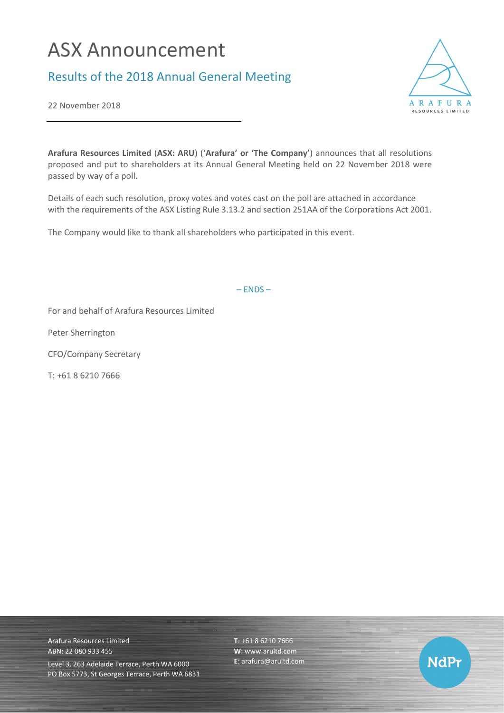## ASX Announcement

## Results of the 2018 Annual General Meeting



22 November 2018

**Arafura Resources Limited** (**ASX: ARU**) ('**Arafura' or 'The Company'**) announces that all resolutions proposed and put to shareholders at its Annual General Meeting held on 22 November 2018 were passed by way of a poll.

Details of each such resolution, proxy votes and votes cast on the poll are attached in accordance with the requirements of the ASX Listing Rule 3.13.2 and section 251AA of the Corporations Act 2001.

The Company would like to thank all shareholders who participated in this event.

– ENDS –

For and behalf of Arafura Resources Limited

Peter Sherrington

CFO/Company Secretary

T: +61 8 6210 7666

Arafura Resources Limited ABN: 22 080 933 455 Level 3, 263 Adelaide Terrace, Perth WA 6000 PO Box 5773, St Georges Terrace, Perth WA 6831 **T**: +61 8 6210 7666 **W**: [www.arultd.com](http://www.arultd.com/) **E**[: arafura@arultd.com](mailto:arafura@arultd.com)